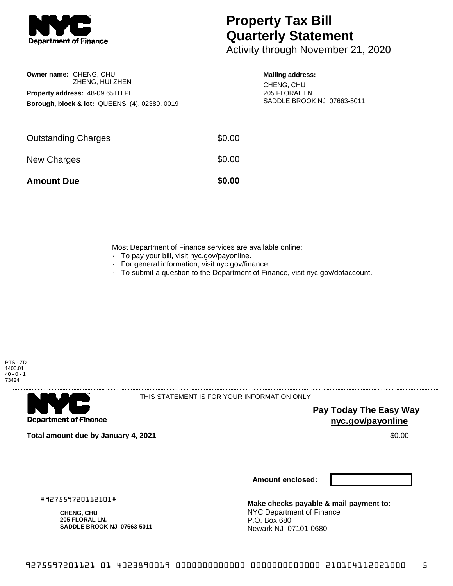

## **Property Tax Bill Quarterly Statement**

Activity through November 21, 2020

| Owner name: CHENG, CHU<br>ZHENG, HUI ZHEN                |  |  |  |  |
|----------------------------------------------------------|--|--|--|--|
| <b>Property address: 48-09 65TH PL.</b>                  |  |  |  |  |
| <b>Borough, block &amp; lot: QUEENS (4), 02389, 0019</b> |  |  |  |  |

## **Mailing address:**

CHENG, CHU 205 FLORAL LN. SADDLE BROOK NJ 07663-5011

| <b>Amount Due</b>          | \$0.00 |
|----------------------------|--------|
| New Charges                | \$0.00 |
| <b>Outstanding Charges</b> | \$0.00 |

Most Department of Finance services are available online:

- · To pay your bill, visit nyc.gov/payonline.
- For general information, visit nyc.gov/finance.
- · To submit a question to the Department of Finance, visit nyc.gov/dofaccount.





THIS STATEMENT IS FOR YOUR INFORMATION ONLY

**Pay Today The Easy Way nyc.gov/payonline**

**Total amount due by January 4, 2021** \$0.00

**Amount enclosed:**

**Make checks payable & mail payment to:** NYC Department of Finance P.O. Box 680 Newark NJ 07101-0680

#927559720112101#

**CHENG, CHU 205 FLORAL LN. SADDLE BROOK NJ 07663-5011**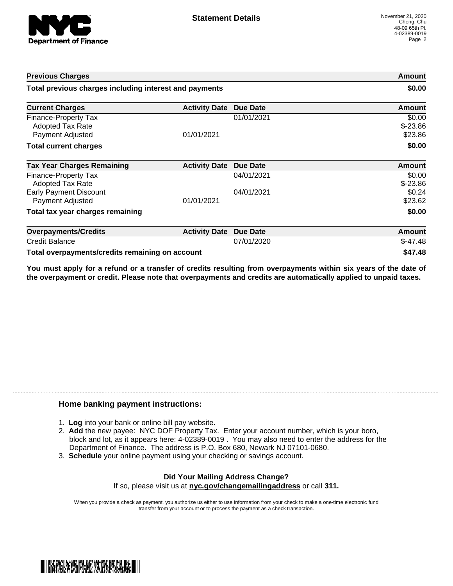

| <b>Previous Charges</b>                                             |                      |                 | Amount                         |
|---------------------------------------------------------------------|----------------------|-----------------|--------------------------------|
| Total previous charges including interest and payments              |                      | \$0.00          |                                |
| <b>Current Charges</b>                                              | <b>Activity Date</b> | <b>Due Date</b> | Amount                         |
| Finance-Property Tax<br><b>Adopted Tax Rate</b><br>Payment Adjusted | 01/01/2021           | 01/01/2021      | \$0.00<br>$$-23.86$<br>\$23.86 |
| <b>Total current charges</b>                                        |                      |                 | \$0.00                         |
| <b>Tax Year Charges Remaining</b>                                   | <b>Activity Date</b> | <b>Due Date</b> | <b>Amount</b>                  |
| Finance-Property Tax<br>Adopted Tax Rate                            |                      | 04/01/2021      | \$0.00<br>$$-23.86$            |
| <b>Early Payment Discount</b><br>Payment Adjusted                   | 01/01/2021           | 04/01/2021      | \$0.24<br>\$23.62              |
| Total tax year charges remaining                                    |                      |                 | \$0.00                         |
| <b>Overpayments/Credits</b>                                         | <b>Activity Date</b> | <b>Due Date</b> | Amount                         |
| <b>Credit Balance</b>                                               |                      | 07/01/2020      | $$-47.48$                      |
| Total overpayments/credits remaining on account                     |                      |                 | \$47.48                        |

You must apply for a refund or a transfer of credits resulting from overpayments within six years of the date of **the overpayment or credit. Please note that overpayments and credits are automatically applied to unpaid taxes.**

## **Home banking payment instructions:**

- 1. **Log** into your bank or online bill pay website.
- 2. **Add** the new payee: NYC DOF Property Tax. Enter your account number, which is your boro, block and lot, as it appears here: 4-02389-0019 . You may also need to enter the address for the Department of Finance. The address is P.O. Box 680, Newark NJ 07101-0680.
- 3. **Schedule** your online payment using your checking or savings account.

## **Did Your Mailing Address Change?** If so, please visit us at **nyc.gov/changemailingaddress** or call **311.**

When you provide a check as payment, you authorize us either to use information from your check to make a one-time electronic fund transfer from your account or to process the payment as a check transaction.